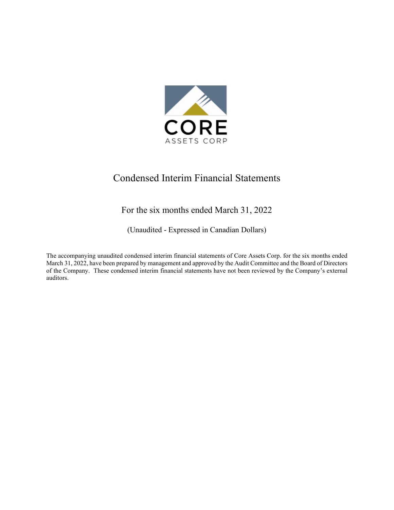

# Condensed Interim Financial Statements

### For the six months ended March 31, 2022

(Unaudited - Expressed in Canadian Dollars)

The accompanying unaudited condensed interim financial statements of Core Assets Corp. for the six months ended March 31, 2022, have been prepared by management and approved by the Audit Committee and the Board of Directors of the Company. These condensed interim financial statements have not been reviewed by the Company's external auditors.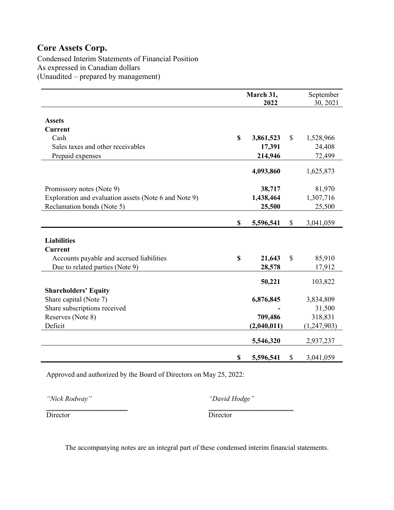Condensed Interim Statements of Financial Position As expressed in Canadian dollars (Unaudited – prepared by management)

|                                                       | March 31,<br>2022 | September<br>30, 2021 |             |
|-------------------------------------------------------|-------------------|-----------------------|-------------|
|                                                       |                   |                       |             |
| <b>Assets</b>                                         |                   |                       |             |
| <b>Current</b>                                        |                   |                       |             |
| Cash                                                  | \$<br>3,861,523   | \$                    | 1,528,966   |
| Sales taxes and other receivables                     | 17,391            |                       | 24,408      |
| Prepaid expenses                                      | 214,946           |                       | 72,499      |
|                                                       |                   |                       |             |
|                                                       | 4,093,860         |                       | 1,625,873   |
|                                                       |                   |                       |             |
| Promissory notes (Note 9)                             | 38,717            |                       | 81,970      |
| Exploration and evaluation assets (Note 6 and Note 9) | 1,438,464         |                       | 1,307,716   |
| Reclamation bonds (Note 5)                            | 25,500            |                       | 25,500      |
|                                                       |                   |                       |             |
|                                                       | \$<br>5,596,541   | \$                    | 3,041,059   |
|                                                       |                   |                       |             |
| <b>Liabilities</b>                                    |                   |                       |             |
| <b>Current</b>                                        |                   |                       |             |
| Accounts payable and accrued liabilities              | \$<br>21,643      | $\mathbb{S}$          | 85,910      |
| Due to related parties (Note 9)                       | 28,578            |                       | 17,912      |
|                                                       |                   |                       |             |
|                                                       | 50,221            |                       | 103,822     |
| <b>Shareholders' Equity</b>                           |                   |                       |             |
| Share capital (Note 7)                                | 6,876,845         |                       | 3,834,809   |
| Share subscriptions received                          |                   |                       | 31,500      |
| Reserves (Note 8)                                     | 709,486           |                       | 318,831     |
| Deficit                                               | (2,040,011)       |                       | (1,247,903) |
|                                                       | 5,546,320         |                       | 2,937,237   |
|                                                       |                   |                       |             |
|                                                       | \$<br>5,596,541   | \$                    | 3,041,059   |

Approved and authorized by the Board of Directors on May 25, 2022:

*"Nick Rodway" "David Hodge"*

\_\_\_\_\_\_\_\_\_\_\_\_\_\_\_\_\_\_\_\_\_\_\_ \_\_\_\_\_\_\_\_\_\_\_\_\_\_\_\_\_\_\_\_\_\_\_\_ Director Director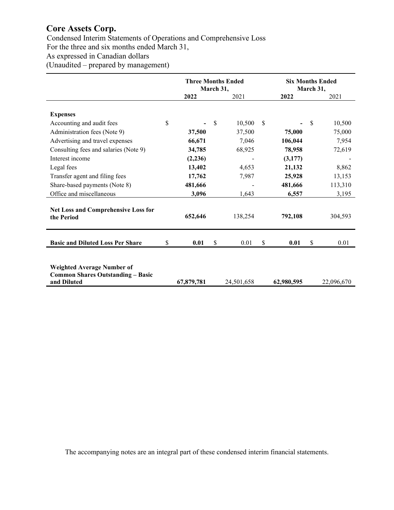Condensed Interim Statements of Operations and Comprehensive Loss

For the three and six months ended March 31,

As expressed in Canadian dollars

(Unaudited – prepared by management)

|                                                                                              | <b>Three Months Ended</b><br>March 31, |            |    | <b>Six Months Ended</b><br>March 31, |            |    |            |
|----------------------------------------------------------------------------------------------|----------------------------------------|------------|----|--------------------------------------|------------|----|------------|
|                                                                                              |                                        | 2022       |    | 2021                                 | 2022       |    | 2021       |
| <b>Expenses</b>                                                                              |                                        |            |    |                                      |            |    |            |
| Accounting and audit fees                                                                    | \$                                     |            | \$ | 10,500                               | \$         | \$ | 10,500     |
| Administration fees (Note 9)                                                                 |                                        | 37,500     |    | 37,500                               | 75,000     |    | 75,000     |
| Advertising and travel expenses                                                              |                                        | 66,671     |    | 7,046                                | 106,044    |    | 7,954      |
| Consulting fees and salaries (Note 9)                                                        |                                        | 34,785     |    | 68,925                               | 78,958     |    | 72,619     |
| Interest income                                                                              |                                        | (2, 236)   |    |                                      | (3,177)    |    |            |
| Legal fees                                                                                   |                                        | 13,402     |    | 4,653                                | 21,132     |    | 8,862      |
| Transfer agent and filing fees                                                               |                                        | 17,762     |    | 7,987                                | 25,928     |    | 13,153     |
| Share-based payments (Note 8)                                                                |                                        | 481,666    |    |                                      | 481,666    |    | 113,310    |
| Office and miscellaneous                                                                     |                                        | 3,096      |    | 1,643                                | 6,557      |    | 3,195      |
| Net Loss and Comprehensive Loss for<br>the Period                                            |                                        | 652,646    |    | 138,254                              | 792,108    |    | 304,593    |
| <b>Basic and Diluted Loss Per Share</b>                                                      | \$                                     | 0.01       | \$ | 0.01                                 | \$<br>0.01 | \$ | 0.01       |
| <b>Weighted Average Number of</b><br><b>Common Shares Outstanding - Basic</b><br>and Diluted |                                        | 67,879,781 |    | 24,501,658                           | 62,980,595 |    | 22,096,670 |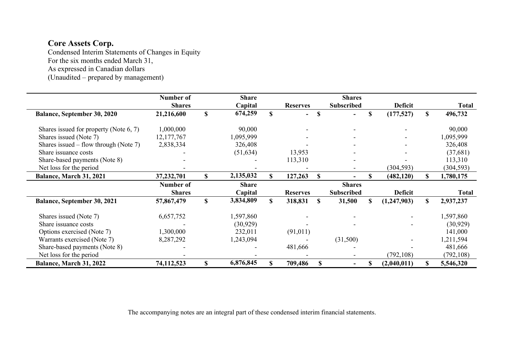Condensed Interim Statements of Changes in Equity For the six months ended March 31,

As expressed in Canadian dollars

(Unaudited – prepared by management)

|                                           | Number of     | <b>Share</b>    |              |                 |          | <b>Shares</b>     |    |                |    |              |
|-------------------------------------------|---------------|-----------------|--------------|-----------------|----------|-------------------|----|----------------|----|--------------|
|                                           | <b>Shares</b> | Capital         |              | <b>Reserves</b> |          | <b>Subscribed</b> |    | <b>Deficit</b> |    | <b>Total</b> |
| <b>Balance, September 30, 2020</b>        | 21,216,600    | \$<br>674,259   | $\mathbf S$  |                 | S        |                   | S  | (177,527)      | S  | 496,732      |
| Shares issued for property (Note $6, 7$ ) | 1,000,000     | 90,000          |              |                 |          |                   |    |                |    | 90,000       |
| Shares issued (Note 7)                    | 12,177,767    | 1,095,999       |              |                 |          |                   |    |                |    | 1,095,999    |
| Shares issued – flow through (Note 7)     | 2,838,334     | 326,408         |              |                 |          |                   |    |                |    | 326,408      |
| Share issuance costs                      |               | (51, 634)       |              | 13,953          |          |                   |    |                |    | (37,681)     |
| Share-based payments (Note 8)             |               |                 |              | 113,310         |          |                   |    |                |    | 113,310      |
| Net loss for the period                   |               |                 |              |                 |          |                   |    | (304, 593)     |    | (304, 593)   |
| Balance, March 31, 2021                   | 37,232,701    | \$<br>2,135,032 | S.           | 127,263         | <b>S</b> |                   | S. | (482, 120)     | S. | 1,780,175    |
|                                           | Number of     | <b>Share</b>    |              |                 |          | <b>Shares</b>     |    |                |    |              |
|                                           | <b>Shares</b> | Capital         |              | <b>Reserves</b> |          | <b>Subscribed</b> |    | <b>Deficit</b> |    | <b>Total</b> |
| <b>Balance, September 30, 2021</b>        | 57,867,479    | \$<br>3,834,809 | <sup>S</sup> | 318,831         | <b>S</b> | 31,500            | \$ | (1,247,903)    | S  | 2,937,237    |
| Shares issued (Note 7)                    | 6,657,752     | 1,597,860       |              |                 |          |                   |    |                |    | 1,597,860    |
| Share issuance costs                      |               | (30, 929)       |              |                 |          |                   |    |                |    | (30, 929)    |
| Options exercised (Note 7)                | 1,300,000     | 232,011         |              | (91, 011)       |          |                   |    |                |    | 141,000      |
| Warrants exercised (Note 7)               | 8,287,292     | 1,243,094       |              |                 |          | (31,500)          |    |                |    | 1,211,594    |
| Share-based payments (Note 8)             |               |                 |              | 481,666         |          |                   |    |                |    | 481,666      |
| Net loss for the period                   |               |                 |              |                 |          |                   |    | (792, 108)     |    | (792, 108)   |
| Balance, March 31, 2022                   | 74,112,523    | \$<br>6,876,845 | \$           | 709,486         |          |                   | \$ | (2,040,011)    | S. | 5,546,320    |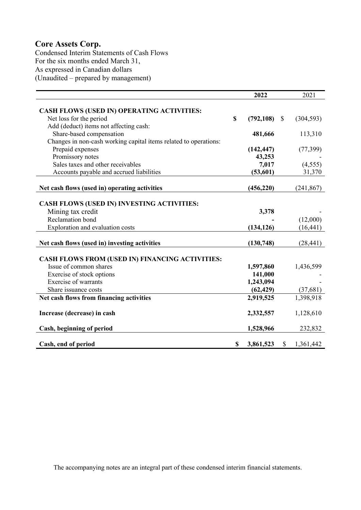Condensed Interim Statements of Cash Flows For the six months ended March 31, As expressed in Canadian dollars (Unaudited – prepared by management)

|                                                                  |             | 2022       |              | 2021       |
|------------------------------------------------------------------|-------------|------------|--------------|------------|
|                                                                  |             |            |              |            |
| <b>CASH FLOWS (USED IN) OPERATING ACTIVITIES:</b>                |             |            |              |            |
| Net loss for the period                                          | $\mathbf S$ | (792, 108) | $\mathbb{S}$ | (304, 593) |
| Add (deduct) items not affecting cash:                           |             |            |              |            |
| Share-based compensation                                         |             | 481,666    |              | 113,310    |
| Changes in non-cash working capital items related to operations: |             |            |              |            |
| Prepaid expenses                                                 |             | (142, 447) |              | (77, 399)  |
| Promissory notes                                                 |             | 43,253     |              |            |
| Sales taxes and other receivables                                |             | 7,017      |              | (4, 555)   |
| Accounts payable and accrued liabilities                         |             | (53, 601)  |              | 31,370     |
|                                                                  |             |            |              |            |
| Net cash flows (used in) operating activities                    |             | (456, 220) |              | (241, 867) |
|                                                                  |             |            |              |            |
| <b>CASH FLOWS (USED IN) INVESTING ACTIVITIES:</b>                |             |            |              |            |
| Mining tax credit                                                |             | 3,378      |              |            |
| Reclamation bond                                                 |             |            |              | (12,000)   |
| Exploration and evaluation costs                                 |             | (134, 126) |              | (16, 441)  |
|                                                                  |             |            |              |            |
| Net cash flows (used in) investing activities                    |             | (130, 748) |              | (28, 441)  |
|                                                                  |             |            |              |            |
| <b>CASH FLOWS FROM (USED IN) FINANCING ACTIVITIES:</b>           |             |            |              |            |
| Issue of common shares                                           |             | 1,597,860  |              | 1,436,599  |
| Exercise of stock options                                        |             | 141,000    |              |            |
| <b>Exercise of warrants</b>                                      |             | 1,243,094  |              |            |
| Share issuance costs                                             |             | (62, 429)  |              | (37,681)   |
| Net cash flows from financing activities                         |             | 2,919,525  |              | 1,398,918  |
| Increase (decrease) in cash                                      |             | 2,332,557  |              | 1,128,610  |
|                                                                  |             |            |              |            |
| Cash, beginning of period                                        |             | 1,528,966  |              | 232,832    |
|                                                                  |             |            |              |            |
| Cash, end of period                                              | S           | 3,861,523  | $\mathbb{S}$ | 1,361,442  |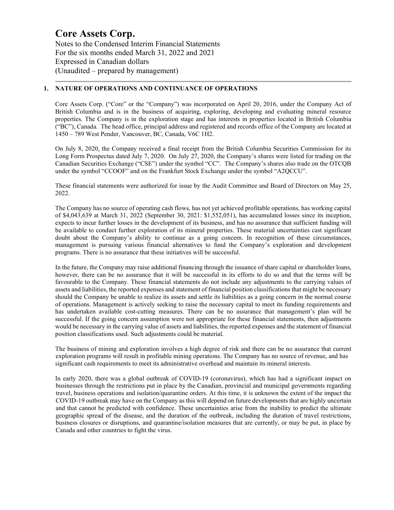Notes to the Condensed Interim Financial Statements For the six months ended March 31, 2022 and 2021 Expressed in Canadian dollars (Unaudited – prepared by management)

#### **1. NATURE OF OPERATIONS AND CONTINUANCE OF OPERATIONS**

Core Assets Corp. ("Core" or the "Company") was incorporated on April 20, 2016, under the Company Act of British Columbia and is in the business of acquiring, exploring, developing and evaluating mineral resource properties. The Company is in the exploration stage and has interests in properties located in British Columbia ("BC"), Canada. The head office, principal address and registered and records office of the Company are located at 1450 – 789 West Pender, Vancouver, BC, Canada, V6C 1H2.

On July 8, 2020, the Company received a final receipt from the British Columbia Securities Commission for its Long Form Prospectus dated July 7, 2020. On July 27, 2020, the Company's shares were listed for trading on the Canadian Securities Exchange ("CSE") under the symbol "CC". The Company's shares also trade on the OTCQB under the symbol "CCOOF" and on the Frankfurt Stock Exchange under the symbol "A2QCCU".

These financial statements were authorized for issue by the Audit Committee and Board of Directors on May 25, 2022.

The Company has no source of operating cash flows, has not yet achieved profitable operations, has working capital of \$4,043,639 at March 31, 2022 (September 30, 2021: \$1,552,051), has accumulated losses since its inception, expects to incur further losses in the development of its business, and has no assurance that sufficient funding will be available to conduct further exploration of its mineral properties. These material uncertainties cast significant doubt about the Company's ability to continue as a going concern. In recognition of these circumstances, management is pursuing various financial alternatives to fund the Company's exploration and development programs. There is no assurance that these initiatives will be successful.

In the future, the Company may raise additional financing through the issuance of share capital or shareholder loans, however, there can be no assurance that it will be successful in its efforts to do so and that the terms will be favourable to the Company. These financial statements do not include any adjustments to the carrying values of assets and liabilities, the reported expenses and statement of financial position classifications that might be necessary should the Company be unable to realize its assets and settle its liabilities as a going concern in the normal course of operations. Management is actively seeking to raise the necessary capital to meet its funding requirements and has undertaken available cost-cutting measures. There can be no assurance that management's plan will be successful. If the going concern assumption were not appropriate for these financial statements, then adjustments would be necessary in the carrying value of assets and liabilities, the reported expenses and the statement of financial position classifications used. Such adjustments could be material.

The business of mining and exploration involves a high degree of risk and there can be no assurance that current exploration programs will result in profitable mining operations. The Company has no source of revenue, and has significant cash requirements to meet its administrative overhead and maintain its mineral interests.

In early 2020, there was a global outbreak of COVID-19 (coronavirus), which has had a significant impact on businesses through the restrictions put in place by the Canadian, provincial and municipal governments regarding travel, business operations and isolation/quarantine orders. At this time, it is unknown the extent of the impact the COVID-19 outbreak may have on the Company as this will depend on future developments that are highly uncertain and that cannot be predicted with confidence. These uncertainties arise from the inability to predict the ultimate geographic spread of the disease, and the duration of the outbreak, including the duration of travel restrictions, business closures or disruptions, and quarantine/isolation measures that are currently, or may be put, in place by Canada and other countries to fight the virus.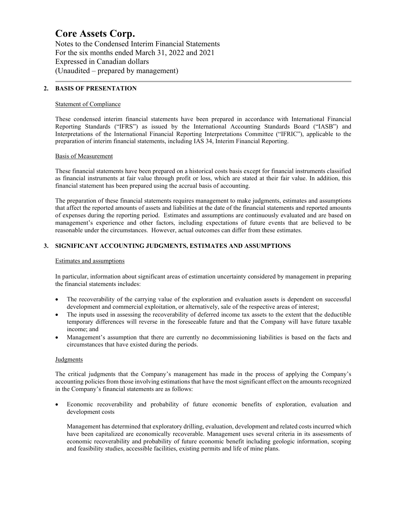Notes to the Condensed Interim Financial Statements For the six months ended March 31, 2022 and 2021 Expressed in Canadian dollars (Unaudited – prepared by management)

#### **2. BASIS OF PRESENTATION**

#### Statement of Compliance

These condensed interim financial statements have been prepared in accordance with International Financial Reporting Standards ("IFRS") as issued by the International Accounting Standards Board ("IASB") and Interpretations of the International Financial Reporting Interpretations Committee ("IFRIC"), applicable to the preparation of interim financial statements, including IAS 34, Interim Financial Reporting.

#### Basis of Measurement

These financial statements have been prepared on a historical costs basis except for financial instruments classified as financial instruments at fair value through profit or loss, which are stated at their fair value. In addition, this financial statement has been prepared using the accrual basis of accounting.

The preparation of these financial statements requires management to make judgments, estimates and assumptions that affect the reported amounts of assets and liabilities at the date of the financial statements and reported amounts of expenses during the reporting period. Estimates and assumptions are continuously evaluated and are based on management's experience and other factors, including expectations of future events that are believed to be reasonable under the circumstances. However, actual outcomes can differ from these estimates.

#### **3. SIGNIFICANT ACCOUNTING JUDGMENTS, ESTIMATES AND ASSUMPTIONS**

#### Estimates and assumptions

In particular, information about significant areas of estimation uncertainty considered by management in preparing the financial statements includes:

- The recoverability of the carrying value of the exploration and evaluation assets is dependent on successful development and commercial exploitation, or alternatively, sale of the respective areas of interest;
- The inputs used in assessing the recoverability of deferred income tax assets to the extent that the deductible temporary differences will reverse in the foreseeable future and that the Company will have future taxable income; and
- Management's assumption that there are currently no decommissioning liabilities is based on the facts and circumstances that have existed during the periods.

#### **Judgments**

The critical judgments that the Company's management has made in the process of applying the Company's accounting policies from those involving estimations that have the most significant effect on the amounts recognized in the Company's financial statements are as follows:

• Economic recoverability and probability of future economic benefits of exploration, evaluation and development costs

Management has determined that exploratory drilling, evaluation, development and related costs incurred which have been capitalized are economically recoverable. Management uses several criteria in its assessments of economic recoverability and probability of future economic benefit including geologic information, scoping and feasibility studies, accessible facilities, existing permits and life of mine plans.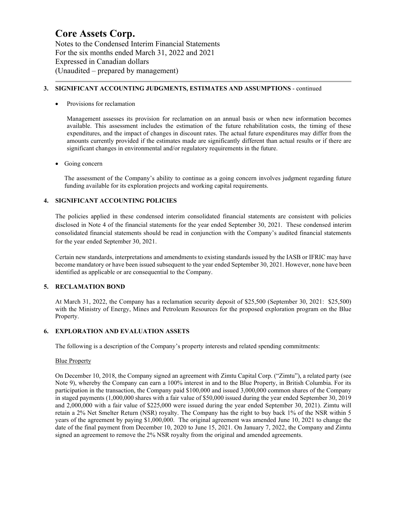Notes to the Condensed Interim Financial Statements For the six months ended March 31, 2022 and 2021 Expressed in Canadian dollars (Unaudited – prepared by management)

#### **3. SIGNIFICANT ACCOUNTING JUDGMENTS, ESTIMATES AND ASSUMPTIONS** - continued

Provisions for reclamation

Management assesses its provision for reclamation on an annual basis or when new information becomes available. This assessment includes the estimation of the future rehabilitation costs, the timing of these expenditures, and the impact of changes in discount rates. The actual future expenditures may differ from the amounts currently provided if the estimates made are significantly different than actual results or if there are significant changes in environmental and/or regulatory requirements in the future.

#### Going concern

The assessment of the Company's ability to continue as a going concern involves judgment regarding future funding available for its exploration projects and working capital requirements.

#### **4. SIGNIFICANT ACCOUNTING POLICIES**

The policies applied in these condensed interim consolidated financial statements are consistent with policies disclosed in Note 4 of the financial statements for the year ended September 30, 2021. These condensed interim consolidated financial statements should be read in conjunction with the Company's audited financial statements for the year ended September 30, 2021.

Certain new standards, interpretations and amendments to existing standards issued by the IASB or IFRIC may have become mandatory or have been issued subsequent to the year ended September 30, 2021. However, none have been identified as applicable or are consequential to the Company.

#### **5. RECLAMATION BOND**

At March 31, 2022, the Company has a reclamation security deposit of \$25,500 (September 30, 2021: \$25,500) with the Ministry of Energy, Mines and Petroleum Resources for the proposed exploration program on the Blue Property.

#### **6. EXPLORATION AND EVALUATION ASSETS**

The following is a description of the Company's property interests and related spending commitments:

#### Blue Property

On December 10, 2018, the Company signed an agreement with Zimtu Capital Corp. ("Zimtu"), a related party (see Note 9), whereby the Company can earn a 100% interest in and to the Blue Property, in British Columbia. For its participation in the transaction, the Company paid \$100,000 and issued 3,000,000 common shares of the Company in staged payments (1,000,000 shares with a fair value of \$50,000 issued during the year ended September 30, 2019 and 2,000,000 with a fair value of \$225,000 were issued during the year ended September 30, 2021). Zimtu will retain a 2% Net Smelter Return (NSR) royalty. The Company has the right to buy back 1% of the NSR within 5 years of the agreement by paying \$1,000,000. The original agreement was amended June 10, 2021 to change the date of the final payment from December 10, 2020 to June 15, 2021. On January 7, 2022, the Company and Zimtu signed an agreement to remove the 2% NSR royalty from the original and amended agreements.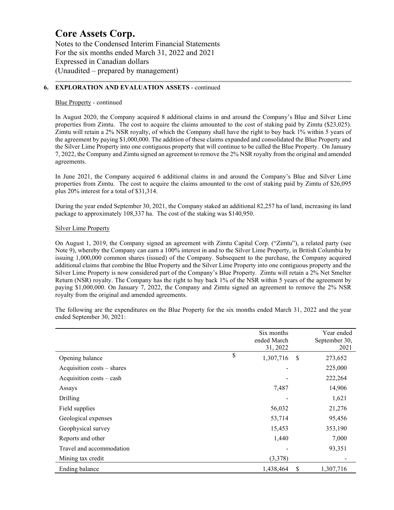Notes to the Condensed Interim Financial Statements For the six months ended March 31, 2022 and 2021 Expressed in Canadian dollars (Unaudited – prepared by management)

#### **6. EXPLORATION AND EVALUATION ASSETS** - continued

#### Blue Property - continued

In August 2020, the Company acquired 8 additional claims in and around the Company's Blue and Silver Lime properties from Zimtu. The cost to acquire the claims amounted to the cost of staking paid by Zimtu (\$23,025). Zimtu will retain a 2% NSR royalty, of which the Company shall have the right to buy back 1% within 5 years of the agreement by paying \$1,000,000. The addition of these claims expanded and consolidated the Blue Property and the Silver Lime Property into one contiguous property that will continue to be called the Blue Property. On January 7, 2022, the Company and Zimtu signed an agreement to remove the 2% NSR royalty from the original and amended agreements.

In June 2021, the Company acquired 6 additional claims in and around the Company's Blue and Silver Lime properties from Zimtu. The cost to acquire the claims amounted to the cost of staking paid by Zimtu of \$26,095 plus 20% interest for a total of \$31,314.

During the year ended September 30, 2021, the Company staked an additional 82,257 ha of land, increasing its land package to approximately 108,337 ha. The cost of the staking was \$140,950.

#### Silver Lime Property

On August 1, 2019, the Company signed an agreement with Zimtu Capital Corp. ("Zimtu"), a related party (see Note 9), whereby the Company can earn a 100% interest in and to the Silver Lime Property, in British Columbia by issuing 1,000,000 common shares (issued) of the Company. Subsequent to the purchase, the Company acquired additional claims that combine the Blue Property and the Silver Lime Property into one contiguous property and the Silver Lime Property is now considered part of the Company's Blue Property. Zimtu will retain a 2% Net Smelter Return (NSR) royalty. The Company has the right to buy back 1% of the NSR within 5 years of the agreement by paying \$1,000,000. On January 7, 2022, the Company and Zimtu signed an agreement to remove the 2% NSR royalty from the original and amended agreements.

The following are the expenditures on the Blue Property for the six months ended March 31, 2022 and the year ended September 30, 2021:

|                            | Six months      |    | Year ended    |
|----------------------------|-----------------|----|---------------|
|                            | ended March     |    | September 30, |
|                            | 31, 2022        |    | 2021          |
| Opening balance            | \$<br>1,307,716 | -S | 273,652       |
| Acquisition costs - shares |                 |    | 225,000       |
| Acquisition costs – cash   |                 |    | 222,264       |
| Assays                     | 7,487           |    | 14,906        |
| Drilling                   |                 |    | 1,621         |
| Field supplies             | 56,032          |    | 21,276        |
| Geological expenses        | 53,714          |    | 95,456        |
| Geophysical survey         | 15,453          |    | 353,190       |
| Reports and other          | 1,440           |    | 7,000         |
| Travel and accommodation   |                 |    | 93,351        |
| Mining tax credit          | (3,378)         |    |               |
| Ending balance             | 1,438,464       | \$ | 1,307,716     |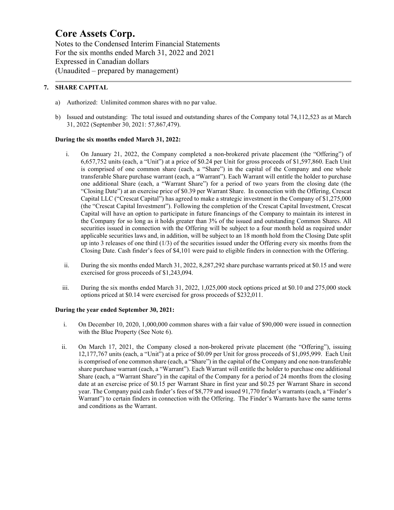Notes to the Condensed Interim Financial Statements For the six months ended March 31, 2022 and 2021 Expressed in Canadian dollars (Unaudited – prepared by management)

#### **7. SHARE CAPITAL**

- a) Authorized: Unlimited common shares with no par value.
- b) Issued and outstanding: The total issued and outstanding shares of the Company total 74,112,523 as at March 31, 2022 (September 30, 2021: 57,867,479).

#### **During the six months ended March 31, 2022:**

- i. On January 21, 2022, the Company completed a non-brokered private placement (the "Offering") of 6,657,752 units (each, a "Unit") at a price of \$0.24 per Unit for gross proceeds of \$1,597,860. Each Unit is comprised of one common share (each, a "Share") in the capital of the Company and one whole transferable Share purchase warrant (each, a "Warrant"). Each Warrant will entitle the holder to purchase one additional Share (each, a "Warrant Share") for a period of two years from the closing date (the "Closing Date") at an exercise price of \$0.39 per Warrant Share. In connection with the Offering, Crescat Capital LLC ("Crescat Capital") has agreed to make a strategic investment in the Company of \$1,275,000 (the "Crescat Capital Investment"). Following the completion of the Crescat Capital Investment, Crescat Capital will have an option to participate in future financings of the Company to maintain its interest in the Company for so long as it holds greater than 3% of the issued and outstanding Common Shares. All securities issued in connection with the Offering will be subject to a four month hold as required under applicable securities laws and, in addition, will be subject to an 18 month hold from the Closing Date split up into 3 releases of one third (1/3) of the securities issued under the Offering every six months from the Closing Date. Cash finder's fees of \$4,101 were paid to eligible finders in connection with the Offering.
- ii. During the six months ended March 31, 2022, 8,287,292 share purchase warrants priced at \$0.15 and were exercised for gross proceeds of \$1,243,094.
- iii. During the six months ended March 31, 2022, 1,025,000 stock options priced at \$0.10 and 275,000 stock options priced at \$0.14 were exercised for gross proceeds of \$232,011.

#### **During the year ended September 30, 2021:**

- i. On December 10, 2020, 1,000,000 common shares with a fair value of \$90,000 were issued in connection with the Blue Property (See Note 6).
- ii. On March 17, 2021, the Company closed a non-brokered private placement (the "Offering"), issuing 12,177,767 units (each, a "Unit") at a price of \$0.09 per Unit for gross proceeds of \$1,095,999. Each Unit is comprised of one common share (each, a "Share") in the capital of the Company and one non-transferable share purchase warrant (each, a "Warrant"). Each Warrant will entitle the holder to purchase one additional Share (each, a "Warrant Share") in the capital of the Company for a period of 24 months from the closing date at an exercise price of \$0.15 per Warrant Share in first year and \$0.25 per Warrant Share in second year. The Company paid cash finder's fees of \$8,779 and issued 91,770 finder's warrants (each, a "Finder's Warrant") to certain finders in connection with the Offering. The Finder's Warrants have the same terms and conditions as the Warrant.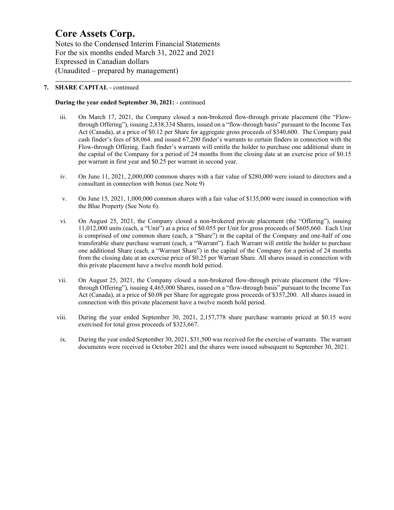Notes to the Condensed Interim Financial Statements For the six months ended March 31, 2022 and 2021 Expressed in Canadian dollars (Unaudited – prepared by management)

#### **7. SHARE CAPITAL** - continued

#### **During the year ended September 30, 2021:** - continued

- iii. On March 17, 2021, the Company closed a non-brokered flow-through private placement (the "Flowthrough Offering"), issuing 2,838,334 Shares, issued on a "flow-through basis" pursuant to the Income Tax Act (Canada), at a price of \$0.12 per Share for aggregate gross proceeds of \$340,600. The Company paid cash finder's fees of \$8,064. and issued 67,200 finder's warrants to certain finders in connection with the Flow-through Offering. Each finder's warrants will entitle the holder to purchase one additional share in the capital of the Company for a period of 24 months from the closing date at an exercise price of \$0.15 per warrant in first year and \$0.25 per warrant in second year.
- iv. On June 11, 2021, 2,000,000 common shares with a fair value of \$280,000 were issued to directors and a consultant in connection with bonus (see Note 9)
- v. On June 15, 2021, 1,000,000 common shares with a fair value of \$135,000 were issued in connection with the Blue Property (See Note 6).
- vi. On August 25, 2021, the Company closed a non-brokered private placement (the "Offering"), issuing 11,012,000 units (each, a "Unit") at a price of \$0.055 per Unit for gross proceeds of \$605,660. Each Unit is comprised of one common share (each, a "Share") in the capital of the Company and one-half of one transferable share purchase warrant (each, a "Warrant"). Each Warrant will entitle the holder to purchase one additional Share (each, a "Warrant Share") in the capital of the Company for a period of 24 months from the closing date at an exercise price of \$0.25 per Warrant Share. All shares issued in connection with this private placement have a twelve month hold period.
- vii. On August 25, 2021, the Company closed a non-brokered flow-through private placement (the "Flowthrough Offering"), issuing 4,465,000 Shares, issued on a "flow-through basis" pursuant to the Income Tax Act (Canada), at a price of \$0.08 per Share for aggregate gross proceeds of \$357,200. All shares issued in connection with this private placement have a twelve month hold period.
- viii. During the year ended September 30, 2021, 2,157,778 share purchase warrants priced at \$0.15 were exercised for total gross proceeds of \$323,667.
- ix. During the year ended September 30, 2021, \$31,500 was received for the exercise of warrants. The warrant documents were received in October 2021 and the shares were issued subsequent to September 30, 2021.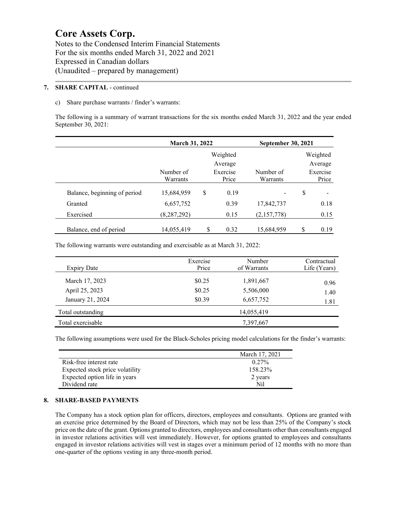Notes to the Condensed Interim Financial Statements For the six months ended March 31, 2022 and 2021 Expressed in Canadian dollars (Unaudited – prepared by management)

#### **7. SHARE CAPITAL** - continued

#### c) Share purchase warrants / finder's warrants:

The following is a summary of warrant transactions for the six months ended March 31, 2022 and the year ended September 30, 2021:

|                              | March 31, 2022        |    |                   | <b>September 30, 2021</b> |    |                   |  |
|------------------------------|-----------------------|----|-------------------|---------------------------|----|-------------------|--|
|                              |                       |    | Weighted          |                           |    | Weighted          |  |
|                              |                       |    | Average           |                           |    | Average           |  |
|                              | Number of<br>Warrants |    | Exercise<br>Price | Number of<br>Warrants     |    | Exercise<br>Price |  |
| Balance, beginning of period | 15,684,959            | \$ | 0.19              |                           | \$ |                   |  |
| Granted                      | 6,657,752             |    | 0.39              | 17,842,737                |    | 0.18              |  |
| Exercised                    | (8, 287, 292)         |    | 0.15              | (2,157,778)               |    | 0.15              |  |
| Balance, end of period       | 14,055,419            | S  | 0.32              | 15,684,959                | \$ | 0.19              |  |

The following warrants were outstanding and exercisable as at March 31, 2022:

| <b>Expiry Date</b> | Exercise<br>Price | Number<br>of Warrants | Contractual<br>Life (Years) |
|--------------------|-------------------|-----------------------|-----------------------------|
| March 17, 2023     | \$0.25            | 1,891,667             | 0.96                        |
| April 25, 2023     | \$0.25            | 5,506,000             | 1.40                        |
| January 21, 2024   | \$0.39            | 6,657,752             | 1.81                        |
| Total outstanding  |                   | 14,055,419            |                             |
| Total exercisable  |                   | 7,397,667             |                             |

The following assumptions were used for the Black-Scholes pricing model calculations for the finder's warrants:

|                                 | March 17, 2021 |
|---------------------------------|----------------|
| Risk-free interest rate         | $0.27\%$       |
| Expected stock price volatility | 158.23%        |
| Expected option life in years   | 2 years        |
| Dividend rate                   | Nil            |

#### **8. SHARE-BASED PAYMENTS**

 $\overline{a}$ 

The Company has a stock option plan for officers, directors, employees and consultants. Options are granted with an exercise price determined by the Board of Directors, which may not be less than 25% of the Company's stock price on the date of the grant. Options granted to directors, employees and consultants other than consultants engaged in investor relations activities will vest immediately. However, for options granted to employees and consultants engaged in investor relations activities will vest in stages over a minimum period of 12 months with no more than one-quarter of the options vesting in any three-month period.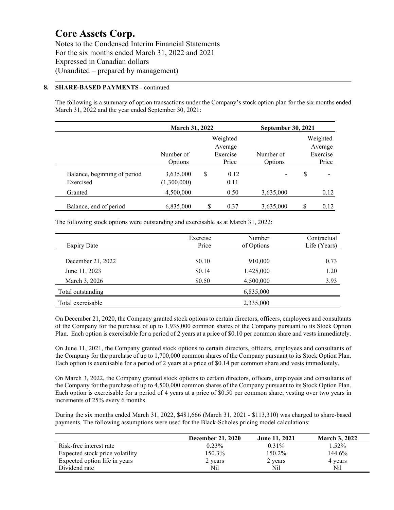Notes to the Condensed Interim Financial Statements For the six months ended March 31, 2022 and 2021 Expressed in Canadian dollars (Unaudited – prepared by management)

#### **8. SHARE-BASED PAYMENTS** - continued

The following is a summary of option transactions under the Company's stock option plan for the six months ended March 31, 2022 and the year ended September 30, 2021:

|                                           | <b>March 31, 2022</b>    |    |                              | <b>September 30, 2021</b> |   |                              |
|-------------------------------------------|--------------------------|----|------------------------------|---------------------------|---|------------------------------|
|                                           |                          |    | Weighted                     |                           |   | Weighted                     |
|                                           | Number of<br>Options     |    | Average<br>Exercise<br>Price | Number of<br>Options      |   | Average<br>Exercise<br>Price |
| Balance, beginning of period<br>Exercised | 3,635,000<br>(1,300,000) | \$ | 0.12<br>0.11                 |                           | S |                              |
| Granted                                   | 4,500,000                |    | 0.50                         | 3,635,000                 |   | 0.12                         |
| Balance, end of period                    | 6,835,000                |    | 0.37                         | 3,635,000                 | S | 0.12                         |

The following stock options were outstanding and exercisable as at March 31, 2022:

| <b>Expiry Date</b> | Exercise<br>Price | Number<br>of Options | Contractual<br>Life (Years) |
|--------------------|-------------------|----------------------|-----------------------------|
| December 21, 2022  | \$0.10            | 910,000              | 0.73                        |
| June 11, 2023      | \$0.14            | 1,425,000            | 1.20                        |
| March 3, 2026      | \$0.50            | 4,500,000            | 3.93                        |
| Total outstanding  |                   | 6,835,000            |                             |
| Total exercisable  |                   | 2,335,000            |                             |

On December 21, 2020, the Company granted stock options to certain directors, officers, employees and consultants of the Company for the purchase of up to 1,935,000 common shares of the Company pursuant to its Stock Option Plan. Each option is exercisable for a period of 2 years at a price of \$0.10 per common share and vests immediately.

On June 11, 2021, the Company granted stock options to certain directors, officers, employees and consultants of the Company for the purchase of up to 1,700,000 common shares of the Company pursuant to its Stock Option Plan. Each option is exercisable for a period of 2 years at a price of \$0.14 per common share and vests immediately.

On March 3, 2022, the Company granted stock options to certain directors, officers, employees and consultants of the Company for the purchase of up to 4,500,000 common shares of the Company pursuant to its Stock Option Plan. Each option is exercisable for a period of 4 years at a price of \$0.50 per common share, vesting over two years in increments of 25% every 6 months.

During the six months ended March 31, 2022, \$481,666 (March 31, 2021 - \$113,310) was charged to share-based payments. The following assumptions were used for the Black-Scholes pricing model calculations:

|                                 | <b>December 21, 2020</b> | <b>June 11, 2021</b> | <b>March 3, 2022</b> |
|---------------------------------|--------------------------|----------------------|----------------------|
| Risk-free interest rate         | $0.23\%$                 | $0.31\%$             | $1.52\%$             |
| Expected stock price volatility | 150.3%                   | 150.2%               | 144.6%               |
| Expected option life in years   | 2 years                  | 2 years              | 4 years              |
| Dividend rate                   | Nil                      | Nil                  | Nil                  |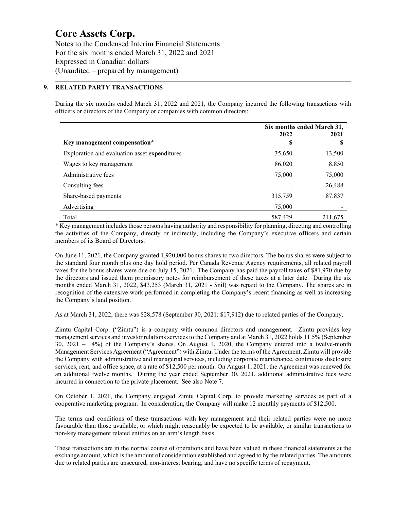Notes to the Condensed Interim Financial Statements For the six months ended March 31, 2022 and 2021 Expressed in Canadian dollars (Unaudited – prepared by management)

#### **9. RELATED PARTY TRANSACTIONS**

During the six months ended March 31, 2022 and 2021, the Company incurred the following transactions with officers or directors of the Company or companies with common directors:

|                                               | Six months ended March 31, |         |  |
|-----------------------------------------------|----------------------------|---------|--|
| Key management compensation*                  | 2022<br>\$                 | 2021    |  |
| Exploration and evaluation asset expenditures | 35,650                     | 13,500  |  |
| Wages to key management                       | 86,020                     | 8,850   |  |
| Administrative fees                           | 75,000                     | 75,000  |  |
| Consulting fees                               |                            | 26,488  |  |
| Share-based payments                          | 315,759                    | 87,837  |  |
| Advertising                                   | 75,000                     |         |  |
| Total                                         | 587,429                    | 211,675 |  |

\* Key management includes those persons having authority and responsibility for planning, directing and controlling the activities of the Company, directly or indirectly, including the Company's executive officers and certain members of its Board of Directors.

On June 11, 2021, the Company granted 1,920,000 bonus shares to two directors. The bonus shares were subject to the standard four month plus one day hold period. Per Canada Revenue Agency requirements, all related payroll taxes for the bonus shares were due on July 15, 2021. The Company has paid the payroll taxes of \$81,970 due by the directors and issued them promissory notes for reimbursement of these taxes at a later date. During the six months ended March 31, 2022, \$43,253 (March 31, 2021 - \$nil) was repaid to the Company. The shares are in recognition of the extensive work performed in completing the Company's recent financing as well as increasing the Company's land position.

As at March 31, 2022, there was \$28,578 (September 30, 2021: \$17,912) due to related parties of the Company.

Zimtu Capital Corp. ("Zimtu") is a company with common directors and management. Zimtu provides key management services and investor relations services to the Company and at March 31, 2022 holds 11.5% (September 30, 2021 – 14%) of the Company's shares. On August 1, 2020, the Company entered into a twelve-month Management Services Agreement ("Agreement") with Zimtu. Under the terms of the Agreement, Zimtu will provide the Company with administrative and managerial services, including corporate maintenance, continuous disclosure services, rent, and office space, at a rate of \$12,500 per month. On August 1, 2021, the Agreement was renewed for an additional twelve months. During the year ended September 30, 2021, additional administrative fees were incurred in connection to the private placement. See also Note 7.

On October 1, 2021, the Company engaged Zimtu Capital Corp. to provide marketing services as part of a cooperative marketing program. In consideration, the Company will make 12 monthly payments of \$12,500.

The terms and conditions of these transactions with key management and their related parties were no more favourable than those available, or which might reasonably be expected to be available, or similar transactions to non-key management related entities on an arm's length basis.

These transactions are in the normal course of operations and have been valued in these financial statements at the exchange amount, which is the amount of consideration established and agreed to by the related parties. The amounts due to related parties are unsecured, non-interest bearing, and have no specific terms of repayment.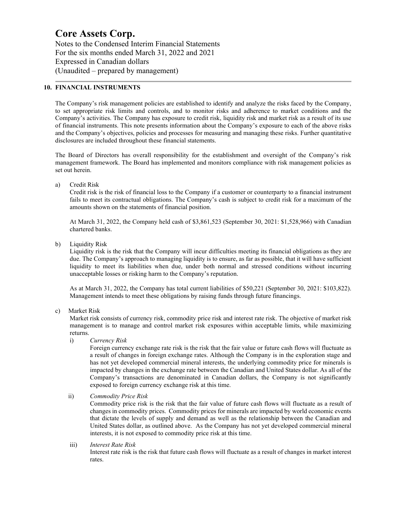Notes to the Condensed Interim Financial Statements For the six months ended March 31, 2022 and 2021 Expressed in Canadian dollars (Unaudited – prepared by management)

#### **10. FINANCIAL INSTRUMENTS**

The Company's risk management policies are established to identify and analyze the risks faced by the Company, to set appropriate risk limits and controls, and to monitor risks and adherence to market conditions and the Company's activities. The Company has exposure to credit risk, liquidity risk and market risk as a result of its use of financial instruments. This note presents information about the Company's exposure to each of the above risks and the Company's objectives, policies and processes for measuring and managing these risks. Further quantitative disclosures are included throughout these financial statements.

The Board of Directors has overall responsibility for the establishment and oversight of the Company's risk management framework. The Board has implemented and monitors compliance with risk management policies as set out herein.

a) Credit Risk

Credit risk is the risk of financial loss to the Company if a customer or counterparty to a financial instrument fails to meet its contractual obligations. The Company's cash is subject to credit risk for a maximum of the amounts shown on the statements of financial position.

At March 31, 2022, the Company held cash of \$3,861,523 (September 30, 2021: \$1,528,966) with Canadian chartered banks.

b) Liquidity Risk

Liquidity risk is the risk that the Company will incur difficulties meeting its financial obligations as they are due. The Company's approach to managing liquidity is to ensure, as far as possible, that it will have sufficient liquidity to meet its liabilities when due, under both normal and stressed conditions without incurring unacceptable losses or risking harm to the Company's reputation.

As at March 31, 2022, the Company has total current liabilities of \$50,221 (September 30, 2021: \$103,822). Management intends to meet these obligations by raising funds through future financings.

c) Market Risk

Market risk consists of currency risk, commodity price risk and interest rate risk. The objective of market risk management is to manage and control market risk exposures within acceptable limits, while maximizing returns.

i) *Currency Risk*

Foreign currency exchange rate risk is the risk that the fair value or future cash flows will fluctuate as a result of changes in foreign exchange rates. Although the Company is in the exploration stage and has not yet developed commercial mineral interests, the underlying commodity price for minerals is impacted by changes in the exchange rate between the Canadian and United States dollar. As all of the Company's transactions are denominated in Canadian dollars, the Company is not significantly exposed to foreign currency exchange risk at this time.

ii) *Commodity Price Risk*

Commodity price risk is the risk that the fair value of future cash flows will fluctuate as a result of changes in commodity prices. Commodity prices for minerals are impacted by world economic events that dictate the levels of supply and demand as well as the relationship between the Canadian and United States dollar, as outlined above. As the Company has not yet developed commercial mineral interests, it is not exposed to commodity price risk at this time.

 iii) *Interest Rate Risk* Interest rate risk is the risk that future cash flows will fluctuate as a result of changes in market interest rates.